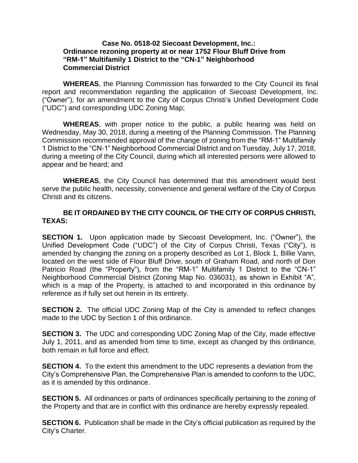## **Case No. 0518-02 Siecoast Development, Inc.: Ordinance rezoning property at or near 1752 Flour Bluff Drive from "RM-1" Multifamily 1 District to the "CN-1" Neighborhood Commercial District**

**WHEREAS**, the Planning Commission has forwarded to the City Council its final report and recommendation regarding the application of Siecoast Development, Inc. ("Owner"), for an amendment to the City of Corpus Christi's Unified Development Code ("UDC") and corresponding UDC Zoning Map;

**WHEREAS**, with proper notice to the public, a public hearing was held on Wednesday, May 30, 2018, during a meeting of the Planning Commission. The Planning Commission recommended approval of the change of zoning from the "RM-1" Multifamily 1 District to the "CN-1" Neighborhood Commercial District and on Tuesday, July 17, 2018, during a meeting of the City Council, during which all interested persons were allowed to appear and be heard; and

**WHEREAS**, the City Council has determined that this amendment would best serve the public health, necessity, convenience and general welfare of the City of Corpus Christi and its citizens.

## **BE IT ORDAINED BY THE CITY COUNCIL OF THE CITY OF CORPUS CHRISTI, TEXAS:**

**SECTION 1.** Upon application made by Siecoast Development, Inc. ("Owner"), the Unified Development Code ("UDC") of the City of Corpus Christi, Texas ("City"), is amended by changing the zoning on a property described as Lot 1, Block 1, Billie Vann, located on the west side of Flour Bluff Drive, south of Graham Road, and north of Don Patricio Road (the "Property"), from the "RM-1" Multifamily 1 District to the "CN-1" Neighborhood Commercial District (Zoning Map No. 036031), as shown in Exhibit "A", which is a map of the Property, is attached to and incorporated in this ordinance by reference as if fully set out herein in its entirety.

**SECTION 2.** The official UDC Zoning Map of the City is amended to reflect changes made to the UDC by Section 1 of this ordinance.

**SECTION 3.** The UDC and corresponding UDC Zoning Map of the City, made effective July 1, 2011, and as amended from time to time, except as changed by this ordinance, both remain in full force and effect.

**SECTION 4.** To the extent this amendment to the UDC represents a deviation from the City's Comprehensive Plan, the Comprehensive Plan is amended to conform to the UDC, as it is amended by this ordinance.

**SECTION 5.** All ordinances or parts of ordinances specifically pertaining to the zoning of the Property and that are in conflict with this ordinance are hereby expressly repealed.

**SECTION 6.** Publication shall be made in the City's official publication as required by the City's Charter.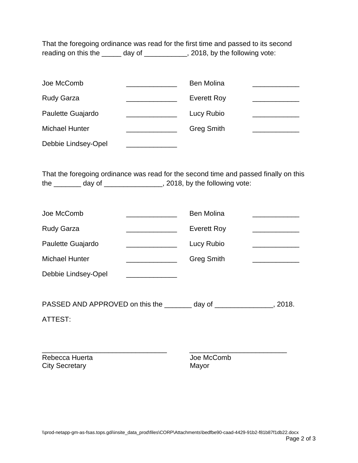That the foregoing ordinance was read for the first time and passed to its second reading on this the \_\_\_\_\_ day of \_\_\_\_\_\_\_\_\_\_, 2018, by the following vote:

| Joe McComb            | <b>Ben Molina</b>  |  |
|-----------------------|--------------------|--|
| <b>Rudy Garza</b>     | <b>Everett Roy</b> |  |
| Paulette Guajardo     | Lucy Rubio         |  |
| <b>Michael Hunter</b> | <b>Greg Smith</b>  |  |
| Debbie Lindsey-Opel   |                    |  |

That the foregoing ordinance was read for the second time and passed finally on this the \_\_\_\_\_\_\_ day of \_\_\_\_\_\_\_\_\_\_\_\_\_\_\_, 2018, by the following vote:

| Joe McComb            | <b>Ben Molina</b>  |  |
|-----------------------|--------------------|--|
| <b>Rudy Garza</b>     | <b>Everett Roy</b> |  |
| Paulette Guajardo     | Lucy Rubio         |  |
| <b>Michael Hunter</b> | <b>Greg Smith</b>  |  |
| Debbie Lindsey-Opel   |                    |  |
|                       |                    |  |

PASSED AND APPROVED on this the \_\_\_\_\_\_\_ day of \_\_\_\_\_\_\_\_\_\_\_\_\_\_, 2018.

ATTEST:

\_\_\_\_\_\_\_\_\_\_\_\_\_\_\_\_\_\_\_\_\_\_\_\_\_\_\_\_\_\_\_\_ \_\_\_\_\_\_\_\_\_\_\_\_\_\_\_\_\_\_\_\_\_\_\_\_\_ Rebecca Huerta **Comb** Joe McComb City Secretary **Mayor** Mayor